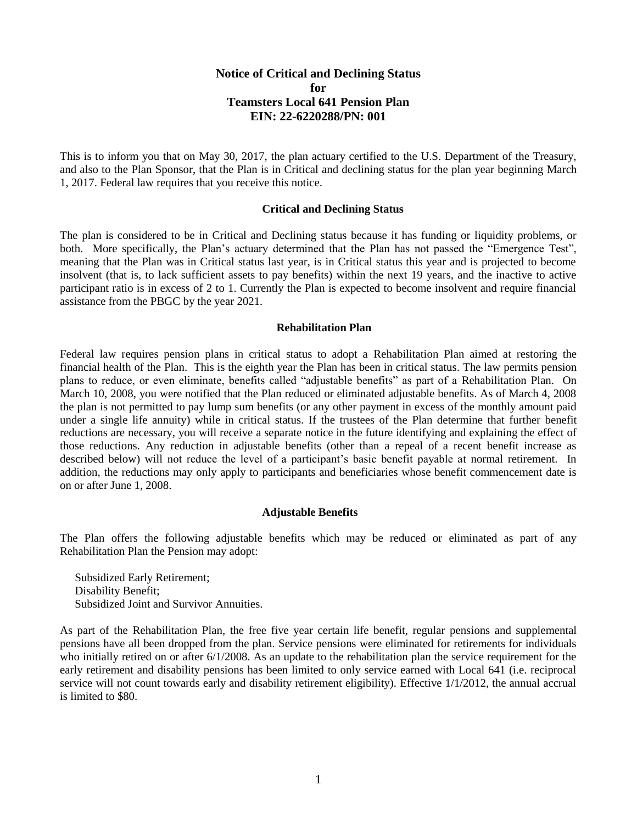# **Notice of Critical and Declining Status for Teamsters Local 641 Pension Plan EIN: 22-6220288/PN: 001**

This is to inform you that on May 30, 2017, the plan actuary certified to the U.S. Department of the Treasury, and also to the Plan Sponsor, that the Plan is in Critical and declining status for the plan year beginning March 1, 2017. Federal law requires that you receive this notice.

### **Critical and Declining Status**

The plan is considered to be in Critical and Declining status because it has funding or liquidity problems, or both. More specifically, the Plan's actuary determined that the Plan has not passed the "Emergence Test", meaning that the Plan was in Critical status last year, is in Critical status this year and is projected to become insolvent (that is, to lack sufficient assets to pay benefits) within the next 19 years, and the inactive to active participant ratio is in excess of 2 to 1. Currently the Plan is expected to become insolvent and require financial assistance from the PBGC by the year 2021.

#### **Rehabilitation Plan**

Federal law requires pension plans in critical status to adopt a Rehabilitation Plan aimed at restoring the financial health of the Plan. This is the eighth year the Plan has been in critical status. The law permits pension plans to reduce, or even eliminate, benefits called "adjustable benefits" as part of a Rehabilitation Plan. On March 10, 2008, you were notified that the Plan reduced or eliminated adjustable benefits. As of March 4, 2008 the plan is not permitted to pay lump sum benefits (or any other payment in excess of the monthly amount paid under a single life annuity) while in critical status. If the trustees of the Plan determine that further benefit reductions are necessary, you will receive a separate notice in the future identifying and explaining the effect of those reductions. Any reduction in adjustable benefits (other than a repeal of a recent benefit increase as described below) will not reduce the level of a participant's basic benefit payable at normal retirement. In addition, the reductions may only apply to participants and beneficiaries whose benefit commencement date is on or after June 1, 2008.

#### **Adjustable Benefits**

The Plan offers the following adjustable benefits which may be reduced or eliminated as part of any Rehabilitation Plan the Pension may adopt:

Subsidized Early Retirement; Disability Benefit; Subsidized Joint and Survivor Annuities.

As part of the Rehabilitation Plan, the free five year certain life benefit, regular pensions and supplemental pensions have all been dropped from the plan. Service pensions were eliminated for retirements for individuals who initially retired on or after 6/1/2008. As an update to the rehabilitation plan the service requirement for the early retirement and disability pensions has been limited to only service earned with Local 641 (i.e. reciprocal service will not count towards early and disability retirement eligibility). Effective 1/1/2012, the annual accrual is limited to \$80.